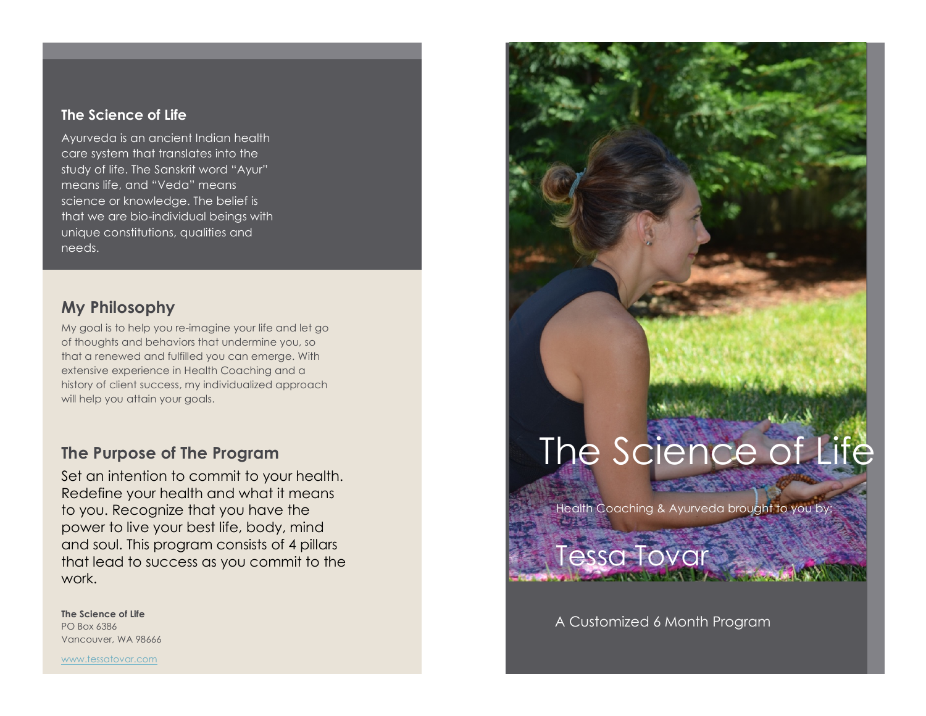#### **The Science of Life**

Ayurveda is an ancient Indian health care system that translates into the study of life. The Sanskrit word "Ayur" means life, and "Veda" means science or knowledge. The belief is that we are bio-individual beings with unique constitutions, qualities and needs.

#### **My Philosophy**

My goal is to help you re-imagine your life and let go of thoughts and behaviors that undermine you, so that a renewed and fulfilled you can emerge. With extensive experience in Health Coaching and a history of client success, my individualized approach will help you attain your goals.

#### **The Purpose of The Program**

Set an intention to commit to your health. Redefine your health and what it means to you. Recognize that you have the power to live your best life, body, mind and soul. This program consists of 4 pillars that lead to success as you commit to the work.

**The Science of Life** PO Box 6386 Vancouver, WA 98666

www.tessatovar.com

# The Science of Life

Health Coaching & Ayurveda brought to you by:

#### A Customized 6 Month Program

Tessa Tovar